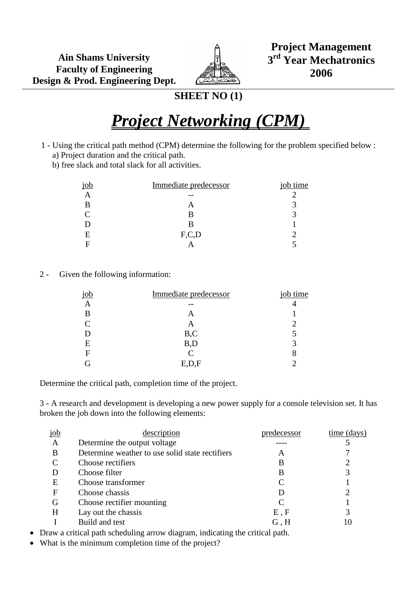

**Project Management 3 rd Year Mechatronics 2006**

## **SHEET NO (1)**

## *Project Networking (CPM)*

- 1 Using the critical path method (CPM) determine the following for the problem specified below : a) Project duration and the critical path.
	- b) free slack and total slack for all activities.

| job | Immediate predecessor | job time |
|-----|-----------------------|----------|
|     |                       |          |
| В   |                       |          |
|     |                       |          |
|     | В                     |          |
| E   | F, C, D               |          |
|     |                       |          |

2 - Given the following information:

|   | Immediate predecessor | job time |
|---|-----------------------|----------|
|   |                       |          |
| В |                       |          |
|   | A                     |          |
|   | B,C                   |          |
| Ε | B,D                   |          |
| F | $\mathsf{\Gamma}$     | 8        |
|   | E,D,r                 |          |

Determine the critical path, completion time of the project.

3 - A research and development is developing a new power supply for a console television set. It has broken the job down into the following elements:

| $j$ ob       | description                                     | predecessor | time (days) |
|--------------|-------------------------------------------------|-------------|-------------|
| $\mathbf{A}$ | Determine the output voltage                    |             |             |
| B            | Determine weather to use solid state rectifiers | A           |             |
|              | Choose rectifiers                               | B           |             |
|              | Choose filter                                   | B           | 3           |
| Ε            | Choose transformer                              |             |             |
| F            | Choose chassis                                  |             | ി           |
| G            | Choose rectifier mounting                       |             |             |
| H            | Lay out the chassis                             | E, F        |             |
|              | Build and test                                  | G, H        | 10          |
|              |                                                 |             |             |

Draw a critical path scheduling arrow diagram, indicating the critical path.

What is the minimum completion time of the project?